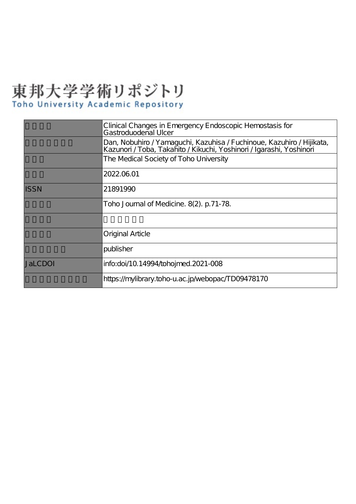# 東邦大学学術リポジトリ

# Toho University Academic Repository

|             | Clinical Changes in Emergency Endoscopic Hemostasis for<br>Gastroduodenal Ulcer                                                               |
|-------------|-----------------------------------------------------------------------------------------------------------------------------------------------|
|             | Dan, Nobuhiro / Yamaguchi, Kazuhisa / Fuchinoue, Kazuhiro / Hijikata,<br>Kazunori / Toba, Takahito / Kikuchi, Yoshinori / Igarashi, Yoshinori |
|             | The Medical Society of Toho University                                                                                                        |
|             | 2022.06.01                                                                                                                                    |
| <b>ISSN</b> | 21891990                                                                                                                                      |
|             | Toho Journal of Medicine. 8(2). p.71-78.                                                                                                      |
|             |                                                                                                                                               |
|             | Original Article                                                                                                                              |
|             | publisher                                                                                                                                     |
| JaLCDOI     | info:doi/10.14994/tohojmed.2021-008                                                                                                           |
|             | https://mylibrary.toho-u.ac.jp/webopac/TD09478170                                                                                             |
|             |                                                                                                                                               |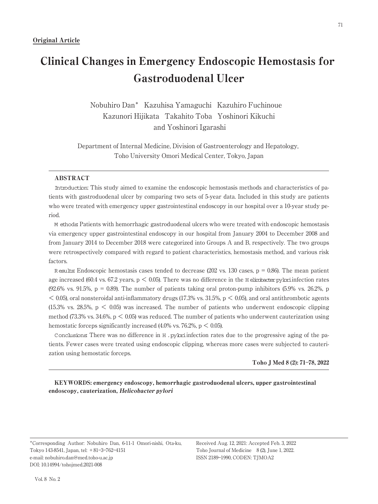Nobuhiro Dan\* Kazuhisa Yamaguchi Kazuhiro Fuchinoue Kazunori Hijikata Takahito Toba Yoshinori Kikuchi and Yoshinori Igarashi

Department of Internal Medicine, Division of Gastroenterology and Hepatology, Toho University Omori Medical Center, Tokyo, Japan

#### ABSTRACT

Introduction: This study aimed to examine the endoscopic hemostasis methods and characteristics of patients with gastroduodenal ulcer by comparing two sets of 5-year data. Included in this study are patients who were treated with emergency upper gastrointestinal endoscopy in our hospital over a 10-year study period.

M ethods: Patients with hemorrhagic gastroduodenal ulcers who were treated with endoscopic hemostasis via emergency upper gastrointestinal endoscopy in our hospital from January 2004 to December 2008 and from January 2014 to December 2018 were categorized into Groups A and B, respectively. The two groups were retrospectively compared with regard to patient characteristics, hemostasis method, and various risk factors.

R esults: Endoscopic hemostasis cases tended to decrease (202 vs. 130 cases,  $p = 0.86$ ). The mean patient age increased (60.4 vs. 67.2 years,  $p \le 0.05$ ). There was no difference in the H elicobacter pyloriinfection rates  $(92.6\% \text{ vs. } 91.5\%, \text{ p} = 0.89)$ . The number of patients taking oral proton-pump inhibitors  $(5.9\% \text{ vs. } 26.2\%, \text{ p})$  $< 0.05$ ), oral nonsteroidal anti-inflammatory drugs (17.3% vs. 31.5%, p  $< 0.05$ ), and oral antithrombotic agents  $(15.3\%$  vs. 28.5%,  $p < 0.05$ ) was increased. The number of patients who underwent endoscopic clipping method (73.3% vs. 34.6%,  $p < 0.05$ ) was reduced. The number of patients who underwent cauterization using hemostatic forceps significantly increased  $(4.0\% \text{ vs. } 76.2\% \text{ p} < 0.05)$ .

Conclusions: There was no difference in H .pyloriinfection rates due to the progressive aging of the patients. Fewer cases were treated using endoscopic clipping, whereas more cases were subjected to cauterization using hemostatic forceps.

#### Toho J Med 8 (2): 71―78, 2022

KEYWORDS: emergency endoscopy, hemorrhagic gastroduodenal ulcers, upper gastrointestinal endoscopy, cauterization, Helicobacter pylori

\*Corresponding Author: Nobuhiro Dan, 6-11-1 Omori-nishi, Ota-ku, Tokyo 143-8541, Japan, tel: +81―3―762―4151 e-mail: nobuhiro.dan@med.toho-u.ac.jp DOI: 10.14994/tohojmed.2021-008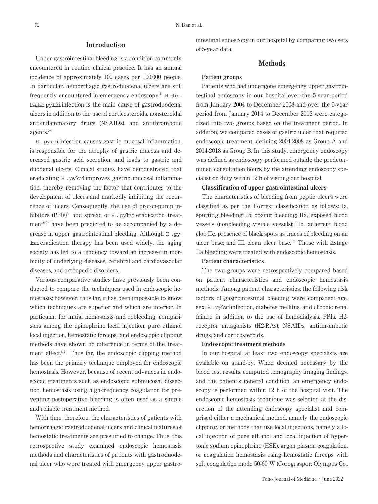#### Introduction

Upper gastrointestinal bleeding is a condition commonly encountered in routine clinical practice. It has an annual incidence of approximately 100 cases per 100,000 people. In particular, hemorrhagic gastroduodenal ulcers are still frequently encountered in emergency endoscopy.<sup>1)</sup>  $H$  elicobacter pyloriinfection is the main cause of gastroduodenal ulcers in addition to the use of corticosteroids, nonsteroidal anti-inflammatory drugs (NSAIDs), and antithrombotic agents. $2-4$ )

H .pyloriinfection causes gastric mucosal inflammation, is responsible for the atrophy of gastric mucosa and decreased gastric acid secretion, and leads to gastric and duodenal ulcers. Clinical studies have demonstrated that eradicating H . pybriimproves gastric mucosal inflammation, thereby removing the factor that contributes to the development of ulcers and markedly inhibiting the recurrence of ulcers. Consequently, the use of proton-pump inhibitors (PPIs)<sup>5)</sup> and spread of  $H$ . pylorieradication treat $ment<sup>6,7)</sup>$  have been predicted to be accompanied by a decrease in upper gastrointestinal bleeding. Although H .pylorieradication therapy has been used widely, the aging society has led to a tendency toward an increase in morbidity of underlying diseases, cerebral and cardiovascular diseases, and orthopedic disorders.

Various comparative studies have previously been conducted to compare the techniques used in endoscopic hemostasis; however, thus far, it has been impossible to know which techniques are superior and which are inferior. In particular, for initial hemostasis and rebleeding, comparisons among the epinephrine local injection, pure ethanol local injection, hemostatic forceps, and endoscopic clipping methods have shown no difference in terms of the treatment effect. $8.9$  Thus far, the endoscopic clipping method has been the primary technique employed for endoscopic hemostasis. However, because of recent advances in endoscopic treatments such as endoscopic submucosal dissection, hemostasis using high-frequency coagulation for preventing postoperative bleeding is often used as a simple and reliable treatment method.

With time, therefore, the characteristics of patients with hemorrhagic gastroduodenal ulcers and clinical features of hemostatic treatments are presumed to change. Thus, this retrospective study examined endoscopic hemostasis methods and characteristics of patients with gastroduodenal ulcer who were treated with emergency upper gastrointestinal endoscopy in our hospital by comparing two sets of 5-year data.

### Methods

#### Patient groups

Patients who had undergone emergency upper gastrointestinal endoscopy in our hospital over the 5-year period from January 2004 to December 2008 and over the 5-year period from January 2014 to December 2018 were categorized into two groups based on the treatment period. In addition, we compared cases of gastric ulcer that required endoscopic treatment, defining 2004-2008 as Group A and 2014-2018 as Group B. In this study, emergency endoscopy was defined as endoscopy performed outside the predetermined consultation hours by the attending endoscopy specialist on duty within 12 h of visiting our hospital.

#### Classification of upper gastrointestinal ulcers

The characteristics of bleeding from peptic ulcers were classified as per the Forrest classification as follows: Ia, spurting bleeding; Ib, oozing bleeding; IIa, exposed blood vessels (nonbleeding visible vessels); IIb, adherent blood clot; IIc, presence of black spots as traces of bleeding on an ulcer base; and III, clean ulcer base.<sup>10)</sup> Those with ≥stage IIa bleeding were treated with endoscopic hemostasis.

#### Patient characteristics

The two groups were retrospectively compared based on patient characteristics and endoscopic hemostasis methods. Among patient characteristics, the following risk factors of gastrointestinal bleeding were compared: age, sex, H .pyloriinfection, diabetes mellitus, and chronic renal failure in addition to the use of hemodialysis, PPIs, H2 receptor antagonists (H2-RAs), NSAIDs, antithrombotic drugs, and corticosteroids.

#### Endoscopic treatment methods

In our hospital, at least two endoscopy specialists are available on stand-by. When deemed necessary by the blood test results, computed tomography imaging findings, and the patient's general condition, an emergency endoscopy is performed within 12 h of the hospital visit. The endoscopic hemostasis technique was selected at the discretion of the attending endoscopy specialist and comprised either a mechanical method, namely the endoscopic clipping, or methods that use local injections, namely a local injection of pure ethanol and local injection of hypertonic sodium epinephrine (HSE), argon plasma coagulation, or coagulation hemostasis using hemostatic forceps with soft coagulation mode 50-60 W (Coregrasper; Olympus Co.,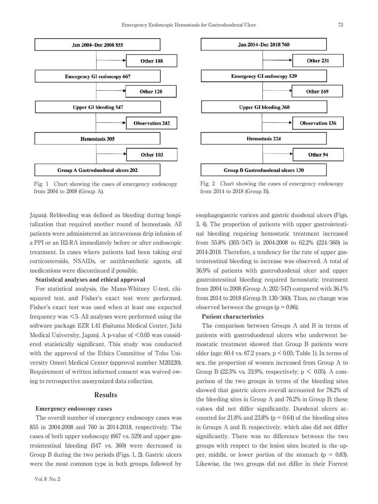

Fig. 1 Chart showing the cases of emergency endoscopy from 2004 to 2008 (Group A).

Japan). Rebleeding was defined as bleeding during hospitalization that required another round of hemostasis. All patients were administered an intravenous drip infusion of a PPI or an H2-RA immediately before or after endoscopic treatment. In cases where patients had been taking oral corticosteroids, NSAIDs, or antithrombotic agents, all medications were discontinued if possible.

#### Statistical analyses and ethical approval

For statistical analysis, the Mann-Whitney U-test, chisquared test, and Fisher's exact test were performed. Fisher's exact test was used when at least one expected frequency was <5. All analyses were performed using the software package EZR 1.41 (Saitama Medical Center, Jichi Medical University, Japan). A p-value of  $\leq 0.05$  was considered statistically significant. This study was conducted with the approval of the Ethics Committee of Toho University Omori Medical Center (approval number M20220). Requirement of written informed consent was waived owing to retrospective anonymized data collection.

## **Results**

#### Emergency endoscopy cases

The overall number of emergency endoscopy cases was 855 in 2004-2008 and 760 in 2014-2018, respectively. The cases of both upper endoscopy (667 vs. 529) and upper gastrointestinal bleeding (547 vs. 360) were decreased in Group B during the two periods (Figs. 1, 2). Gastric ulcers were the most common type in both groups, followed by



Fig. 2 Chart showing the cases of emergency endoscopy from 2014 to 2018 (Group B).

esophagogastric varices and gastric duodenal ulcers (Figs. 3, 4). The proportion of patients with upper gastrointestinal bleeding requiring hemostatic treatment increased from 55.8% (305/547) in 2004-2008 to 62.2% (224/360) in 2014-2018. Therefore, a tendency for the rate of upper gastrointestinal bleeding to increase was observed. A total of 36.9% of patients with gastroduodenal ulcer and upper gastrointestinal bleeding required hemostatic treatment from 2004 to 2008 (Group A: 202/547) compared with 36.1% from 2014 to 2018 (Group B: 130/360). Thus, no change was observed between the groups  $(p = 0.86)$ .

#### Patient characteristics

The comparison between Groups A and B in terms of patients with gastroduodenal ulcers who underwent hemostatic treatment showed that Group B patients were older (age: 60.4 vs. 67.2 years, p < 0.05; Table 1). In terms of sex, the proportion of women increased from Group A to Group B (22.3% vs. 33.9%, respectively;  $p \leq 0.05$ ). A comparison of the two groups in terms of the bleeding sites showed that gastric ulcers overall accounted for 78.2% of the bleeding sites in Group A and 76.2% in Group B; these values did not differ significantly. Duodenal ulcers accounted for  $21.8\%$  and  $23.8\%$  (p = 0.64) of the bleeding sites in Groups A and B, respectively, which also did not differ significantly. There was no difference between the two groups with respect to the lesion sites located in the upper, middle, or lower portion of the stomach ( $p = 0.83$ ). Likewise, the two groups did not differ in their Forrest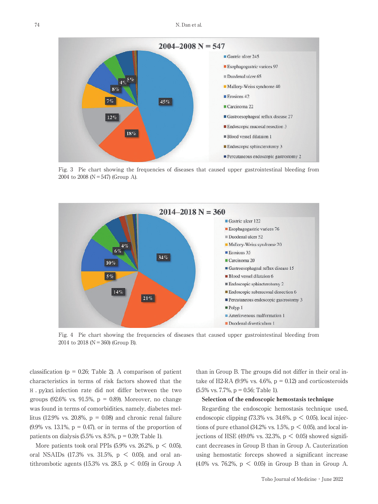

Fig. 3 Pie chart showing the frequencies of diseases that caused upper gastrointestinal bleeding from 2004 to 2008 ( $N = 547$ ) (Group A).



Fig. 4 Pie chart showing the frequencies of diseases that caused upper gastrointestinal bleeding from 2014 to 2018 ( $N = 360$ ) (Group B).

classification ( $p = 0.26$ ; Table 2). A comparison of patient characteristics in terms of risk factors showed that the H . pylori infection rate did not differ between the two groups (92.6% vs. 91.5%,  $p = 0.89$ ). Moreover, no change was found in terms of comorbidities, namely, diabetes mellitus (12.9% vs. 20.8%,  $p = 0.08$ ) and chronic renal failure  $(9.9\% \text{ vs. } 13.1\%, \text{ p} = 0.47)$ , or in terms of the proportion of patients on dialysis  $(5.5\% \text{ vs. } 8.5\%, \text{ p} = 0.39; \text{ Table 1}).$ 

More patients took oral PPIs  $(5.9\% \text{ vs. } 26.2\% \text{ p} < 0.05)$ , oral NSAIDs  $(17.3\%$  vs.  $31.5\%$ ,  $p < 0.05$ ), and oral antithrombotic agents (15.3% vs. 28.5,  $p < 0.05$ ) in Group A

than in Group B. The groups did not differ in their oral intake of H2-RA (9.9% vs. 4.6%,  $p = 0.12$ ) and corticosteroids  $(5.5\% \text{ vs. } 7.7\%, \text{ p} = 0.56; \text{ Table 1}).$ 

# Selection of the endoscopic hemostasis technique

Regarding the endoscopic hemostasis technique used, endoscopic clipping  $(73.3\% \text{ vs. } 34.6\%, \text{ p} < 0.05)$ , local injections of pure ethanol (34.2% vs.  $1.5\%$ , p < 0.05), and local injections of HSE (49.0% vs. 32.3%,  $p < 0.05$ ) showed significant decreases in Group B than in Group A. Cauterization using hemostatic forceps showed a significant increase (4.0% vs. 76.2%, p < 0.05) in Group B than in Group A.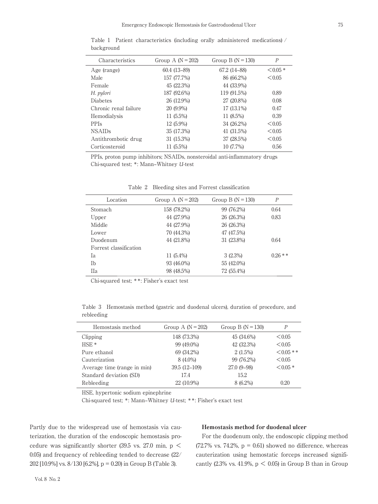| Characteristics       | Group A $(N = 202)$ | Group B $(N = 130)$ | $\boldsymbol{P}$ |
|-----------------------|---------------------|---------------------|------------------|
| Age (range)           | 60.4 (13-89)        | 67.2 (14–88)        | $< 0.05*$        |
| Male                  | 157 (77.7%)         | 86 (66.2%)          | < 0.05           |
| Female                | 45 (22.3%)          | 44 (33.9%)          |                  |
| H. pylori             | 187 (92.6%)         | 119 (91.5%)         | 0.89             |
| <b>Diabetes</b>       | 26 (12.9%)          | 27 (20.8%)          | 0.08             |
| Chronic renal failure | 20 (9.9%)           | $17(13.1\%)$        | 0.47             |
| Hemodialysis          | $11(5.5\%)$         | 11 (8.5%)           | 0.39             |
| <b>PPIs</b>           | $12(5.9\%)$         | 34 (26.2%)          | < 0.05           |
| <b>NSAIDs</b>         | 35 (17.3%)          | 41 (31.5%)          | < 0.05           |
| Antithrombotic drug   | 31 (15.3%)          | 37 (28.5%)          | < 0.05           |
| Corticosteroid        | 11 (5.5%)           | 10 (7.7%)           | 0.56             |

Table 1 Patient characteristics (including orally administered medications) / background

PPIs, proton pump inhibitors; NSAIDs, nonsteroidal anti-inflammatory drugs Chi-squared test; \*: Mann‒Whitney *U*-test

| Location               | Group A $(N = 202)$ | Group B ( $N = 130$ ) | $\boldsymbol{P}$ |
|------------------------|---------------------|-----------------------|------------------|
| <b>Stomach</b>         | 158 (78.2%)         | 99 (76.2%)            | 0.64             |
| Upper                  | 44 (27.9%)          | 26 (26.3%)            | 0.83             |
| Middle                 | 44 (27.9%)          | 26 (26.3%)            |                  |
| Lower                  | 70 (44.3%)          | 47 (47.5%)            |                  |
| Duodenum               | 44 (21.8%)          | 31 (23.8%)            | 0.64             |
| Forrest classification |                     |                       |                  |
| Ia                     | 11 $(5.4\%)$        | $3(2.3\%)$            | $0.26**$         |
| Ιb                     | 93 (46.0%)          | 55 (42.0%)            |                  |
| Пa                     | 98 (48.5%)          | 72 (55.4%)            |                  |

Table 2 Bleeding sites and Forrest classification

Chi-squared test; \*\*: Fisher's exact test

Table 3 Hemostasis method (gastric and duodenal ulcers), duration of procedure, and rebleeding

| Hemostasis method           | Group A $(N = 202)$ | Group B $(N = 130)$ | P           |
|-----------------------------|---------------------|---------------------|-------------|
| Clipping                    | 148 (73.3%)         | 45 (34.6%)          | < 0.05      |
| $HSE*$                      | 99 (49.0%)          | 42 (32.3%)          | < 0.05      |
| Pure ethanol                | 69 (34.2%)          | 2(1.5%)             | $< 0.05$ ** |
| Cauterization               | 8 (4.0%)            | 99 (76.2%)          | < 0.05      |
| Average time (range in min) | $39.5(12-109)$      | $27.0(9-98)$        | $< 0.05*$   |
| Standard deviation (SD)     | 17.4                | 15.2                |             |
| Rebleeding                  | 22 (10.9%)          | 8 (6.2%)            | 0.20        |

HSE, hypertonic sodium epinephrine

Chi-squared test; \*: Mann‒Whitney *U*-test; \*\*: Fisher's exact test

Partly due to the widespread use of hemostasis via cauterization, the duration of the endoscopic hemostasis procedure was significantly shorter (39.5 vs. 27.0 min,  $p \le$ 0.05) and frequency of rebleeding tended to decrease (22/ 202 [10.9%] vs. 8/130 [6.2%], p = 0.20) in Group B (Table 3).

#### Hemostasis method for duodenal ulcer

For the duodenum only, the endoscopic clipping method (72.7% vs. 74.2%,  $p = 0.61$ ) showed no difference, whereas cauterization using hemostatic forceps increased significantly (2.3% vs. 41.9%,  $p < 0.05$ ) in Group B than in Group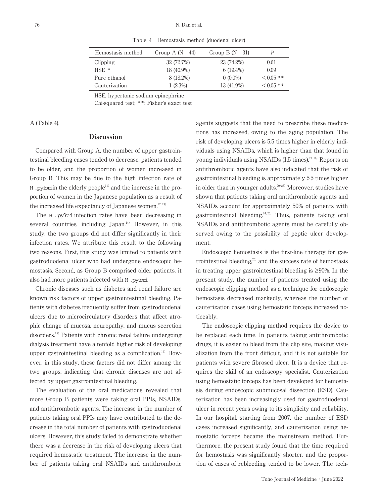| Hemostasis method | Group A $(N = 44)$ | Group B $(N=31)$ |                |
|-------------------|--------------------|------------------|----------------|
| Clipping          | 32 (72.7%)         | 23 (74.2%)       | 0.61           |
| $HSE$ *           | 18 (40.9%)         | $6(19.4\%)$      | 0.09           |
| Pure ethanol      | 8 (18.2%)          | $0(0.0\%)$       | $< 0.05$ **    |
| Cauterization     | $1(2.3\%)$         | 13 (41.9%)       | $\leq 0.05$ ** |

Table 4 Hemostasis method (duodenal ulcer)

HSE, hypertonic sodium epinephrine

Chi-squared test; \*\*: Fisher's exact test

A (Table 4).

# Discussion

Compared with Group A, the number of upper gastrointestinal bleeding cases tended to decrease, patients tended to be older, and the proportion of women increased in Group B. This may be due to the high infection rate of  $H$  .pyloriin the elderly people<sup>11)</sup> and the increase in the proportion of women in the Japanese population as a result of the increased life expectancy of Japanese women. $12,13$ )

The H . pylori infection rates have been decreasing in several countries, including Japan.<sup>14)</sup> However, in this study, the two groups did not differ significantly in their infection rates. We attribute this result to the following two reasons. First, this study was limited to patients with gastroduodenal ulcer who had undergone endoscopic hemostasis. Second, as Group B comprised older patients, it also had more patients infected with H .pylori.

Chronic diseases such as diabetes and renal failure are known risk factors of upper gastrointestinal bleeding. Patients with diabetes frequently suffer from gastroduodenal ulcers due to microcirculatory disorders that affect atrophic change of mucosa, neuropathy, and mucus secretion disorders.<sup>15)</sup> Patients with chronic renal failure undergoing dialysis treatment have a tenfold higher risk of developing upper gastrointestinal bleeding as a complication.<sup>16)</sup> However, in this study, these factors did not differ among the two groups, indicating that chronic diseases are not affected by upper gastrointestinal bleeding.

The evaluation of the oral medications revealed that more Group B patients were taking oral PPIs, NSAIDs, and antithrombotic agents. The increase in the number of patients taking oral PPIs may have contributed to the decrease in the total number of patients with gastroduodenal ulcers. However, this study failed to demonstrate whether there was a decrease in the risk of developing ulcers that required hemostatic treatment. The increase in the number of patients taking oral NSAIDs and antithrombotic

agents suggests that the need to prescribe these medications has increased, owing to the aging population. The risk of developing ulcers is 5.5 times higher in elderly individuals using NSAIDs, which is higher than that found in young individuals using NSAIDs  $(1.5 \text{ times})$ .<sup>17-19)</sup> Reports on antithrombotic agents have also indicated that the risk of gastrointestinal bleeding is approximately 5.5 times higher in older than in younger adults.<sup>20-23)</sup> Moreover, studies have shown that patients taking oral antithrombotic agents and NSAIDs account for approximately 50% of patients with gastrointestinal bleeding.<sup>24, 25)</sup> Thus, patients taking oral NSAIDs and antithrombotic agents must be carefully observed owing to the possibility of peptic ulcer development.

Endoscopic hemostasis is the first-line therapy for gastrointestinal bleeding, $26$  and the success rate of hemostasis in treating upper gastrointestinal bleeding is ≥90%. In the present study, the number of patients treated using the endoscopic clipping method as a technique for endoscopic hemostasis decreased markedly, whereas the number of cauterization cases using hemostatic forceps increased noticeably.

The endoscopic clipping method requires the device to be replaced each time. In patients taking antithrombotic drugs, it is easier to bleed from the clip site, making visualization from the front difficult, and it is not suitable for patients with severe fibrosed ulcer. It is a device that requires the skill of an endoscopy specialist. Cauterization using hemostatic forceps has been developed for hemostasis during endoscopic submucosal dissection (ESD). Cauterization has been increasingly used for gastroduodenal ulcer in recent years owing to its simplicity and reliability. In our hospital, starting from 2007, the number of ESD cases increased significantly, and cauterization using hemostatic forceps became the mainstream method. Furthermore, the present study found that the time required for hemostasis was significantly shorter, and the proportion of cases of rebleeding tended to be lower. The tech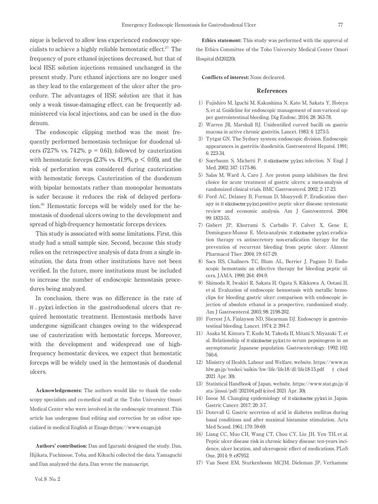nique is believed to allow less experienced endoscopy specialists to achieve a highly reliable hemostatic effect.<sup>27)</sup> The frequency of pure ethanol injections decreased, but that of local HSE solution injections remained unchanged in the present study. Pure ethanol injections are no longer used as they lead to the enlargement of the ulcer after the procedure. The advantages of HSE solution are that it has only a weak tissue-damaging effect, can be frequently administered via local injections, and can be used in the duodenum.

The endoscopic clipping method was the most frequently performed hemostasis technique for duodenal ulcers (72.7% vs. 74.2%,  $p = 0.61$ ), followed by cauterization with hemostatic forceps  $(2.3\% \text{ vs. } 41.9\% \text{, } p \lt 0.05)$ , and the risk of perforation was considered during cauterization with hemostatic forceps. Cauterization of the duodenum with bipolar hemostats rather than monopolar hemostats is safer because it reduces the risk of delayed perforation.28) Hemostatic forceps will be widely used for the hemostasis of duodenal ulcers owing to the development and spread of high-frequency hemostatic forceps devices.

This study is associated with some limitations. First, this study had a small sample size. Second, because this study relies on the retrospective analysis of data from a single institution, the data from other institutions have not been verified. In the future, more institutions must be included to increase the number of endoscopic hemostasis procedures being analyzed.

In conclusion, there was no difference in the rate of H . pylori infection in the gastroduodenal ulcers that required hemostatic treatment. Hemostasis methods have undergone significant changes owing to the widespread use of cauterization with hemostatic forceps. Moreover, with the development and widespread use of highfrequency hemostatic devices, we expect that hemostatic forceps will be widely used in the hemostasis of duodenal ulcers.

Acknowledgements: The authors would like to thank the endoscopy specialists and co-medical staff at the Toho University Omori Medical Center who were involved in the endoscopic treatment. This article has undergone final editing and correction by an editor specialized in medical English at Enago (https://www.enago.jp).

Authors' contribution: Dan and Igarashi designed the study. Dan, Hijikata, Fuchinoue, Toba, and Kikuchi collected the data. Yamaguchi and Dan analyzed the data. Dan wrote the manuscript.

Ethics statement: This study was performed with the approval of the Ethics Committee of the Toho University Medical Center Omori Hospital (M20220).

Conflicts of interest: None decleared.

#### References

- 1)Fujishiro M, Iguchi M, Kakushima N, Kato M, Sakata Y, Hoteya S, et al. Guideline for endoscopic management of non-variceal upper gastrointestinal bleeding. Dig Endosc. 2016; 28: 363-78.
- 2) Warren JR, Marshall BJ, Unidentified curved bacilli on gastric mucosa in active chronic gastritis. Lancet. 1983; 4: 1273-5.
- 3)Tytgat GN. The Sydney system: endoscopic division. Endoscopic appearances in gastritis/duodenitis. Gastroenterol Hepatol. 1991; 6: 223-34.
- 4) Suerbaum S, Michetti P. H elicobacter pylori infection. N Engl J Med. 2002; 347: 1175-86.
- 5) Salas M, Ward A, Caro J. Are proton pump inhibitors the first choice for acute treatment of gastric ulcers: a meta-analysis of randomized clinical trials. BMC Gastroenterol. 2002; 2: 17-23.
- 6)Ford AC, Delaney B, Forman D, Moayyedi P. Eradication therapy in H elicobacterpyloripositive peptic ulcer disease: systematic review and economic analysis. Am J Gastroenterol. 2004; 99: 1833-55.
- 7)Gisbert JP, Khorrami S, Carballo F, Calvet X, Gene E, Dominguez-Munoz E. Meta-analysis: H elicobacter pylori eradication therapy vs antisecretory non-eradication therapy for the prevention of recurrent bleeding from peptic ulcer. Aliment Pharmacol Ther. 2004; 19: 617-29.
- 8) Sacs HS, Challners TC, Blum AL, Berrier J, Pagano D. Endoscopic hemostasis: an effective therapy for bleeding peptic ulcers. JAMA. 1990; 264: 494-9.
- 9) Shimoda R, Iwakiri R, Sakata H, Ogata S, Kikkawa A, Ootani H, et al. Evaluation of endoscopic hemostasis with metallic hemoclips for bleeding gastric ulcer: comparison with endoscopic injection of absolute ethanol in a prospective, randomized study. Am J Gastroenterol. 2003; 98: 2198-202.
- 10)Forrest JA, Finlayson ND, Shearman DJ. Endoscopy in gastrointestinal bleeding. Lancet. 1974; 2: 394-7.
- 11)Asaka M, Kimura T, Kudo M, Takeda H, Mitani S, Miyazaki T, et al. Relationship of H elicobacter pylorito serum pepsinogens in an asymptomatic Japanese population. Gastroenterology. 1992; 102: 760-6.
- 12) Ministry of Health, Labour and Welfare, website. https://www.m hlw.go.jp/toukei/saikin/hw/life/life18/dl/life18-15.pdf ( cited 2021 Apr. 30).
- 13) Statistical Handbook of Japan, website. https://www.stat.go.jp/d ata/jinsui/pdf/202104.pdf (cited 2021 Apr. 30).
- 14) Inoue M. Changing epidemiology of H elicobacter pylori in Japan. Gastric Cancer. 2017; 20: 3-7.
- 15) Dotevall G. Gastric secretion of acid in diabetes mellitus during basal conditions and after maximal histamine stimulation. Acta Med Scand. 1961; 170: 59-69.
- 16) Liang CC, Muo CH, Wang CT, Chou CY, Liu JH, Yen TH, et al. Peptic ulcer disease risk in chronic kidney disease: ten-years incidence, ulcer location, and ulcerogenic effect of medications. PLoS One. 2014; 9: e87952.
- 17) Van Soest EM, Sturkenboom MCJM, Dieleman JP, Verhamme